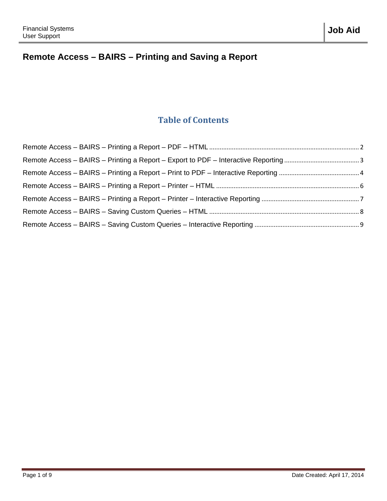# **Remote Access – BAIRS – Printing and Saving a Report**

#### **Table of Contents**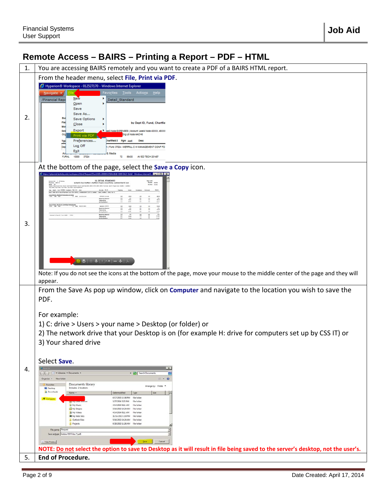# **Job Aid**

### <span id="page-1-0"></span>**Remote Access – BAIRS – Printing a Report – PDF – HTML**

| 1. | You are accessing BAIRS remotely and you want to create a PDF of a BAIRS HTML report.                                                                                                                                                                                                                                                                                                                                                                                                                                                                                                                                                                                                                                                                                                                                                                                                                                                                                                                                                                                                                                                                                                                                                                         |  |  |  |  |  |  |
|----|---------------------------------------------------------------------------------------------------------------------------------------------------------------------------------------------------------------------------------------------------------------------------------------------------------------------------------------------------------------------------------------------------------------------------------------------------------------------------------------------------------------------------------------------------------------------------------------------------------------------------------------------------------------------------------------------------------------------------------------------------------------------------------------------------------------------------------------------------------------------------------------------------------------------------------------------------------------------------------------------------------------------------------------------------------------------------------------------------------------------------------------------------------------------------------------------------------------------------------------------------------------|--|--|--|--|--|--|
|    | From the header menu, select File, Print via PDF.                                                                                                                                                                                                                                                                                                                                                                                                                                                                                                                                                                                                                                                                                                                                                                                                                                                                                                                                                                                                                                                                                                                                                                                                             |  |  |  |  |  |  |
| 2. | Hyperion® Workspace - 012527170 - Windows Internet Explorer<br>Favo <u>r</u> ites Tools Actio <u>n</u> s Help<br>Navigate v<br><b>New</b><br>/Financial Repo<br>Detail Standard<br>Open<br>Save<br>Save As<br><b>Save Options</b><br>by Dept ID, Fund, Chartfie<br>Close<br>Export<br>MEI3 Node EXPENSES   Account Level4 Node 40/OOC, 46/OO<br>Drg L6 Node AACH6<br>Print via PDF<br>Preferences<br>hartfield 2<br><b>Desc</b><br>Pgm Acct<br>Log Off<br>Fund: 37024 - MERRILL C W MANAGEMENT CONF FD<br>Exit<br>10000 37024<br><b>FURNI</b>                                                                                                                                                                                                                                                                                                                                                                                                                                                                                                                                                                                                                                                                                                                 |  |  |  |  |  |  |
| 3. | At the bottom of the page, select the Save a Copy icon.<br>uest/DocUUID=00000143504c48d0-0000-0422-0afe0 - Windows Internet E N=W HEN MX<br><b>GL DETAIL STANDARD</b><br>by Sept O. Fund, Chartfield 1. Chartfield 2. 4<br><b>HIGH</b><br>Ξ<br>isylving Sax<br>Ida Activity<br>Not 1700 - Budduar Contings Trans Every<br>$\frac{1}{2}$<br><b>Exitize</b><br>hang Beans<br>ă<br>anne for Sean (6 - Pum 1988) - 37634<br>$-1$<br>Note: If you do not see the icons at the bottom of the page, move your mouse to the middle center of the page and they will<br>appear.                                                                                                                                                                                                                                                                                                                                                                                                                                                                                                                                                                                                                                                                                        |  |  |  |  |  |  |
| 4. | From the Save As pop up window, click on Computer and navigate to the location you wish to save the<br>PDF.<br>For example:<br>1) C: drive > Users > your name > Desktop (or folder) or<br>2) The network drive that your Desktop is on (for example H: drive for computers set up by CSS IT) or<br>3) Your shared drive<br>Select Save.<br>$\mathbf{x}$<br>$\left  \cdot \right $ = $\left  \cdot \right $ = Libraries = Documents =<br>- Co Search Document<br>Ð<br>Organize <b>+</b> New folder<br>$\mathbb{R}$ , 0<br>Documents library<br>Favorites<br>Arrange by: Folder<br>Includes: 2 locations<br><b>Desktop</b><br><b>Downloads</b><br>$\vert \cdot \vert$<br>Size.<br>Name =<br>Date modified<br>Type<br>6/17/2013 12:36 PM File folder<br>Compu<br>1/27/2014 1:23 PM<br>File folder<br><sup>1</sup> My Music<br>4/14/2014 8:11 AM<br><b>File folder</b><br>My Shapes<br>5/16/2013 10:24 AM<br>File folder<br>My Videos<br>4/14/2014 8:11 AM<br>File folder<br>All My Web Sites<br>11/14/2013 1:10 PM<br>File folder<br><b>Dutlook Files</b><br>5/16/2013 10:24 AM File folder<br><b>Projects</b><br>6/28/2013 11:26 AM File folder<br>File name: Request<br>Ξ<br>9<br>Save as type: Adobe PDF Files (*.pdf)<br>Save 1<br>Cancel<br>- Hide Folders |  |  |  |  |  |  |
|    | NOTE: Do not select the option to save to Desktop as it will result in file being saved to the server's desktop, not the user's.                                                                                                                                                                                                                                                                                                                                                                                                                                                                                                                                                                                                                                                                                                                                                                                                                                                                                                                                                                                                                                                                                                                              |  |  |  |  |  |  |
| 5. | End of Procedure.                                                                                                                                                                                                                                                                                                                                                                                                                                                                                                                                                                                                                                                                                                                                                                                                                                                                                                                                                                                                                                                                                                                                                                                                                                             |  |  |  |  |  |  |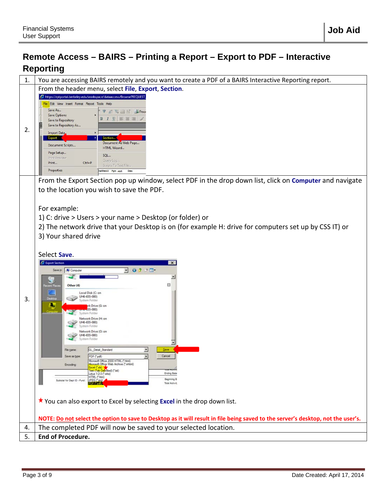### <span id="page-2-0"></span>**Remote Access – BAIRS – Printing a Report – Export to PDF – Interactive Reporting**

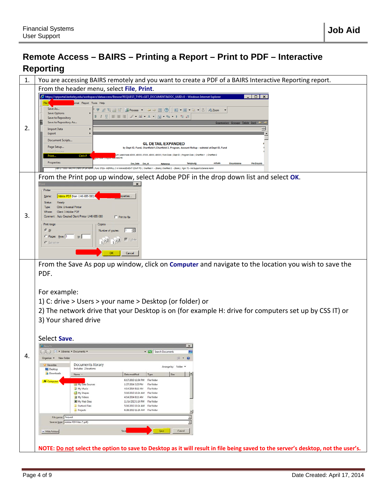### <span id="page-3-0"></span>**Remote Access – BAIRS – Printing a Report – Print to PDF – Interactive Reporting**

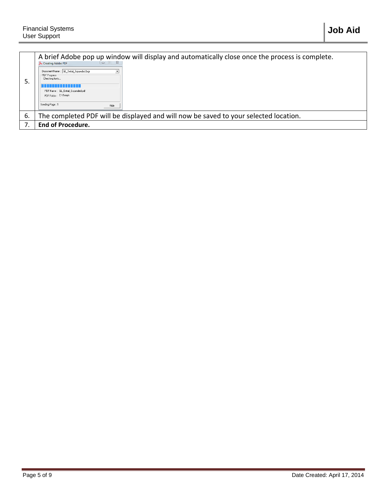| э. | A brief Adobe pop up window will display and automatically close once the process is complete.<br>Creating Adobe PDF<br>Document Name: GL_Detail_Expanded.bqv<br>- PDF Progress<br>Checking fonts<br>PDF Name: GL_Detail_Expanded.pdf<br>PDF Folder: C:\Temp\<br>Sending Page:<br>Hide |  |  |  |  |  |
|----|----------------------------------------------------------------------------------------------------------------------------------------------------------------------------------------------------------------------------------------------------------------------------------------|--|--|--|--|--|
| 6. | The completed PDF will be displayed and will now be saved to your selected location.                                                                                                                                                                                                   |  |  |  |  |  |
|    | <b>End of Procedure.</b>                                                                                                                                                                                                                                                               |  |  |  |  |  |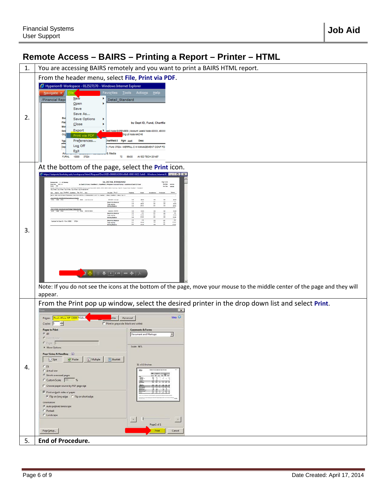# <span id="page-5-0"></span>**Remote Access – BAIRS – Printing a Report – Printer – HTML**

| 1. | You are accessing BAIRS remotely and you want to print a BAIRS HTML report.                                                                                                                                                                                                                                                                                                                                                                                                                                                                                                                                                                                                                                                                                                                                                                                                                                                                                                                                                                                                                                                                                                                                                                                                                                                                                                  |  |  |  |  |  |  |  |
|----|------------------------------------------------------------------------------------------------------------------------------------------------------------------------------------------------------------------------------------------------------------------------------------------------------------------------------------------------------------------------------------------------------------------------------------------------------------------------------------------------------------------------------------------------------------------------------------------------------------------------------------------------------------------------------------------------------------------------------------------------------------------------------------------------------------------------------------------------------------------------------------------------------------------------------------------------------------------------------------------------------------------------------------------------------------------------------------------------------------------------------------------------------------------------------------------------------------------------------------------------------------------------------------------------------------------------------------------------------------------------------|--|--|--|--|--|--|--|
|    | From the header menu, select File, Print via PDF.                                                                                                                                                                                                                                                                                                                                                                                                                                                                                                                                                                                                                                                                                                                                                                                                                                                                                                                                                                                                                                                                                                                                                                                                                                                                                                                            |  |  |  |  |  |  |  |
| 2. | Hyperion® Workspace - 012527170 - Windows Internet Explorer<br>Favo <u>r</u> ites Tools Actions Help<br>Navigate v<br><b>New</b><br>/Financial Repo<br>Detail_Standard<br>Open<br>Save<br>Save As<br>Save Options<br>FW <sub></sub><br>by Dept ID, Fund, Chartfie<br>$C$ lose<br>Mo<br>Export<br>Nel3 Node EXPENSES   Account Level4 Node 40/000, 46/000<br>Org L6 Node AACH6<br>Print via PDF<br>Preferences<br>Chartfield 2 Pgm Acct<br><b>Desc</b><br>Typ<br>Log Off<br>Fund: 37024 - MERRILL C W MANAGEMENT CONF FD<br>Dec<br>Exit<br><b>Media</b>                                                                                                                                                                                                                                                                                                                                                                                                                                                                                                                                                                                                                                                                                                                                                                                                                       |  |  |  |  |  |  |  |
|    | 10000 37024<br><b>FURNI</b>                                                                                                                                                                                                                                                                                                                                                                                                                                                                                                                                                                                                                                                                                                                                                                                                                                                                                                                                                                                                                                                                                                                                                                                                                                                                                                                                                  |  |  |  |  |  |  |  |
| 3. | At the bottom of the page, select the Print icon.<br>Shttps://iptportal.berkeley.edu/workspace/ihtml/Request?DocUUID=00000143504c48a0-0000-0422-0afe0 - Windows Internet E <b>Review Protocolland and Manufates</b><br><b>GL DETAIL STANDARD</b><br>hap 1.418<br>Summer Unit - 1 - 10 Setember<br>Faced Four - 2013 - 10<br>Month - 240<br>by Cept 10, Fund, Chartford 1, Chartfield 3, Program, Assount Romai - subfolar at Cept 10, Fund<br><b>AVEN</b><br>ter føre<br>werk<br>Not based for his<br><b>LEE - EUSSINA PUBLICATION &amp; MAYS</b><br>Ħ<br>÷<br>H<br>i i i<br>Beginning Barance<br>Total Activity<br><b>Incing Basece</b><br>Appt 672404 Budgledd Confriders Trans Busines<br><b>Includes North</b><br>148<br>14.8<br>EEEEE<br>Beginning Barance<br>Total Activity<br>$\frac{1}{16}$<br>$\frac{1}{100}$<br><b>Encina Basice</b><br>18<br><b>Engineer Bearing</b><br>m.<br>ă<br>Duester for Dept (D - Park 10000 - 17034)<br>exer<br>Note: If you do not see the icons at the bottom of the page, move your mouse to the middle center of the page and they will<br>appear.                                                                                                                                                                                                                                                                                    |  |  |  |  |  |  |  |
| 4. | From the Print pop up window, select the desired printer in the drop down list and select Print.<br>$\mathbf{x}$<br>Help <sup>(2)</sup><br>Ricoh Aficio MP C3500 PCL5c<br>Advanced<br>sties<br><b>Printer:</b><br>$\frac{1}{100}$<br>Print in grayscale (black and white)<br>Copies: 1<br><b>Pages to Print</b><br>Comments & Forms<br>$G$ All<br>Document and Markups<br>$\overline{\phantom{a}}$<br>C Current page<br>C Pages<br>Scale: 94%<br>More Options<br>Page Sizing & Handling (a)<br>Multiple<br>$\Box$ Booklet<br>Poster<br>52e<br>$11 \times 8.5$ Inches<br>$C$ Et<br>C Actual size<br><b>BOX</b><br>$-100 - 100$<br><b>4</b> Shrink oversized pages<br>$\frac{1}{2} \sum_{i=1}^n \frac{1}{2} \sum_{i=1}^n \frac{1}{2} \sum_{i=1}^n \frac{1}{2} \sum_{i=1}^n \frac{1}{2} \sum_{i=1}^n \frac{1}{2} \sum_{i=1}^n \frac{1}{2} \sum_{i=1}^n \frac{1}{2} \sum_{i=1}^n \frac{1}{2} \sum_{i=1}^n \frac{1}{2} \sum_{i=1}^n \frac{1}{2} \sum_{i=1}^n \frac{1}{2} \sum_{i=1}^n \frac{1}{2} \sum_{i=1}^n \frac{1}{2} \sum_{i=$<br><b>BM-</b><br>$111 - 17$<br>C Custom Scale: 100 %<br>F Choose paper source by PDF page size<br>ᅔ<br>$\nabla$ Print on both sides of paper<br>F Flip on long edge C Flip on short edge<br>Orientation:<br>C Auto portrait/landscape<br>Portrait<br>C Landscape<br>$\rightarrow$<br>$\prec$<br>Page 1 of 1<br>Page Setup<br>Print<br>Cancel |  |  |  |  |  |  |  |
| 5. | End of Procedure.                                                                                                                                                                                                                                                                                                                                                                                                                                                                                                                                                                                                                                                                                                                                                                                                                                                                                                                                                                                                                                                                                                                                                                                                                                                                                                                                                            |  |  |  |  |  |  |  |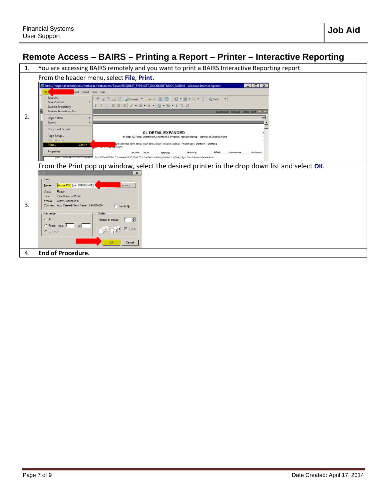#### <span id="page-6-0"></span>**Remote Access – BAIRS – Printing a Report – Printer – Interactive Reporting**

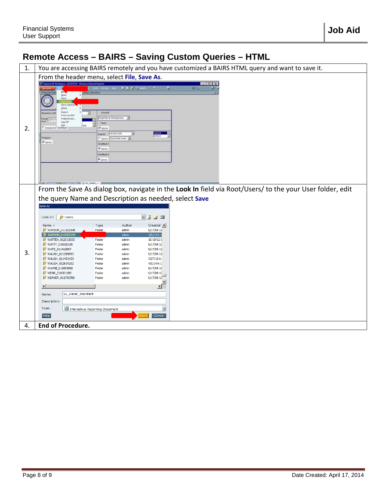#### <span id="page-7-0"></span>**Remote Access – BAIRS – Saving Custom Queries – HTML**

| 1. | You are accessing BAIRS remotely and you have customized a BAIRS HTML query and want to save it.                                                                                                                                                                                                                                                                                                   |                                                                                                                                            |                                                                                                            |                                                                                                                                                                                                                                                        |                                                                                                          |  |
|----|----------------------------------------------------------------------------------------------------------------------------------------------------------------------------------------------------------------------------------------------------------------------------------------------------------------------------------------------------------------------------------------------------|--------------------------------------------------------------------------------------------------------------------------------------------|------------------------------------------------------------------------------------------------------------|--------------------------------------------------------------------------------------------------------------------------------------------------------------------------------------------------------------------------------------------------------|----------------------------------------------------------------------------------------------------------|--|
|    | From the header menu, select File, Save As.                                                                                                                                                                                                                                                                                                                                                        |                                                                                                                                            |                                                                                                            |                                                                                                                                                                                                                                                        |                                                                                                          |  |
| 2. | C Hyperion® Workspace -012527170 - Windows Internet Explor<br>Open<br>Save<br>Save Option<br>Close<br>Export<br><b>Business Unit</b><br>Print via PDF<br>Preferences.<br>Fiscal 2013-1<br>Log Off<br>Egit<br>noude Est Overhead<br>Program<br>P Ignore                                                                                                                                             | Detail Standard<br>Account.<br>Σ<br>Fund:<br>P Ignore<br>Dept ID:<br>Chartfield 1<br>P Ignore<br>Chartfield 2:<br>P sgnore                 | <b>B B A</b> <i>M Delay</i> ( B<br>Dept Rev & All Expenses -<br>Ξ<br>L6 Sub Unit<br>Tignore Org Node Level | п<br>AACL6                                                                                                                                                                                                                                             | $-10x$<br>EI IS<br>ゆ目<br>53                                                                              |  |
| 3. | the query Name and Description as needed, select Save<br>Save As<br><b>D</b> Users<br>Look in:<br>Name A<br>WATSON_011202548<br>WATSON_012527170<br>WATTEN_012510055<br>WATTY_010510195<br>WATZ_011412867<br>WAUGH_011289893<br>WAUGH_011451423<br>WAUGH_012634252<br>WAYNE_010605920<br>WEAR_010301385<br><b>WEAVER 011755780</b><br>GL_Detail_Standard<br>Name:<br>Description:<br>Type:<br>Help | Type<br>Folder<br>Folder<br>Folder<br>Folder<br>Folder<br>Folder<br>Folder<br>Folder<br>Folder<br>Folder<br>Interactive Reporting Document | Author<br>admin<br>admin<br>admin<br>admin<br>admin<br>admin<br>admin<br>admin<br>admin<br>admin<br>admin  | ⊻∣ ⊴<br>$\blacksquare$<br>$Create \ \ \blacksquare$<br>6/17/08 11<br>$1/8/13$ 6:1<br>$10/18/12 \in$<br>6/17/08 10<br>6/17/08 11<br>$6/17/08$ 11<br>7/27/10 6:<br>4/9/146:1<br>6/17/08 10<br>6/17/08 10<br>6/17/0812<br>$\blacktriangleright$<br>Cancel | From the Save As dialog box, navigate in the Look In field via Root/Users/ to the your User folder, edit |  |
| 4. | <b>End of Procedure.</b>                                                                                                                                                                                                                                                                                                                                                                           |                                                                                                                                            |                                                                                                            |                                                                                                                                                                                                                                                        |                                                                                                          |  |